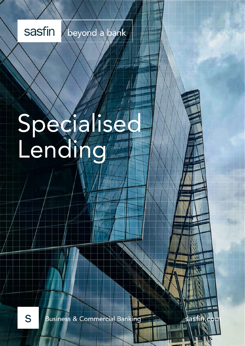beyond a sasfin bank

# Specialised Lending

S

**Business & Commercial Banking** 

as<sup>-</sup>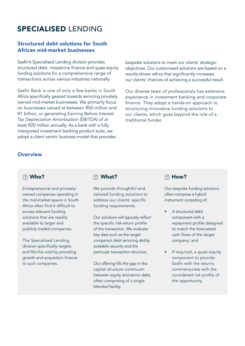# SPECIALISED LENDING

#### Structured debt solutions for South African mid-market businesses

Sasfin's Specialised Lending division provides structured debt, mezzanine finance and quasi-equity funding solutions for a comprehensive range of transactions across various industries nationally.

Sasfin Bank is one of only a few banks in South Africa specifically geared towards servicing privately owned mid-market businesses. We primarily focus on businesses valued at between R50 million and R1 billion, or generating Earning Before Interest Tax Depreciation Amortisation (EBITDA) of at least R20 million annually. As a bank with a fully intergrated investment banking product suite, we adopt a client centric business model that provides

bespoke solutions to meet our clients' strategic objectives. Our customised solutions are based on a results-driven ethos that significantly increases our clients' chances of achieving a successful result.

Our diverse team of professionals has extensive experience in investment banking and corporate finance. They adopt a hands-on approach to structuring innovative funding solutions to our clients, which goes beyond the role of a traditional funder.

#### **Overview**

#### Who?

Entrepreneurial and privatelyowned companies operating in the mid-market space in South Africa often find it difficult to access relevant funding solutions that are readily available to larger and publicly traded companies.

The Specialised Lending division specifically targets and fills this void by providing growth and acquisition finance to such companies.

#### What?

We provide thoughtful and tailored funding solutions to address our clients' specific funding requirements.

Our solutions will typically reflect the specific risk-return profile of the transaction. We evaluate key data such as the target company's debt servicing ability, available security and the particular transaction structure.

Our offering fills the gap in the capital structure continuum between equity and senior debt, often comprising of a single blended facility.

#### How?

Our bespoke funding solutions often comprise a hybrid instrument consisting of:

- A structured debt component with a repayment profile designed to match the forecasted cash flows of the target company; and
- If required, a quasi-equity component to provide Sasfin with the returns commensurate with the considered risk profile of the opportunity.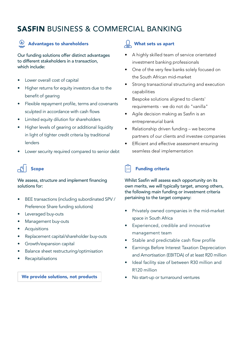# SASFIN BUSINESS & COMMERCIAL BANKING

## (B) Advantages to shareholders

Our funding solutions offer distinct advantages to different stakeholders in a transaction, which include:

- Lower overall cost of capital
- Higher returns for equity investors due to the benefit of gearing
- Flexible repayment profile, terms and covenants sculpted in accordance with cash flows
- Limited equity dilution for shareholders
- Higher levels of gearing or additional liquidity in light of tighter credit criteria by traditional lenders
- Lower security required compared to senior debt

# Scope

#### We assess, structure and implement financing solutions for:

- BEE transactions (including subordinated SPV / Preference Share funding solutions)
- Leveraged buy-outs
- Management buy-outs
- Acquisitions
- Replacement capital/shareholder buy-outs
- Growth/expansion capital
- Balance sheet restructuring/optimisation
- **Recapitalisations**

#### We provide solutions, not products **•** No start-up or turnaround ventures

#### $\mathcal{L}$  What sets us apart

- A highly skilled team of service orientated investment banking professionals
- One of the very few banks solely focused on the South African mid-market
- Strong transactional structuring and execution capabilities
- Bespoke solutions aligned to clients' requirements - we do not do "vanilla"
- Agile decision making as Sasfin is an entrepreneurial bank
- Relationship driven funding we become partners of our clients and investee companies
- Efficient and effective assessment ensuring seamless deal implementation

## Funding criteria

Whilst Sasfin will assess each opportunity on its own merits, we will typically target, among others, the following main funding or investment criteria pertaining to the target company:

- Privately owned companies in the mid-market space in South Africa
- Experienced, credible and innovative management team
- Stable and predictable cash flow profile
- Earnings Before Interest Taxation Depreciation and Amortisation (EBITDA) of at least R20 million
- Ideal facility size of between R30 million and R120 million
-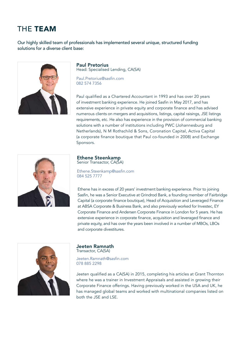# THE TEAM

Our highly skilled team of professionals has implemented several unique, structured funding solutions for a diverse client base:



Paul Pretorius Head: Specialised Lending, CA(SA)

Paul.Pretorius@sasfin.com 082 574 7356

Paul qualified as a Chartered Accountant in 1993 and has over 20 years of investment banking experience. He joined Sasfin in May 2017, and has extensive experience in private equity and corporate finance and has advised numerous clients on mergers and acquisitions, listings, capital raisings, JSE listings requirements, etc. He also has experience in the provision of commercial banking solutions with a number of institutions including PWC (Johannesburg and Netherlands), N M Rothschild & Sons, Coronation Capital, Activa Capital (a corporate finance boutique that Paul co-founded in 2008) and Exchange Sponsors.



Ethene Steenkamp Senior Transactor, CA(SA)

Ethene.Steenkamp@sasfin.com 084 525 7777

Ethene has in excess of 20 years' investment banking experience. Prior to joining Sasfin, he was a Senior Executive at Grindrod Bank, a founding member of Fairbridge Capital (a corporate finance boutique), Head of Acquisition and Leveraged Finance at ABSA Corporate & Business Bank, and also previously worked for Investec, EY Corporate Finance and Andersen Corporate Finance in London for 5 years. He has extensive experience in corporate finance, acquisition and leveraged finance and private equity, and has over the years been involved in a number of MBOs, LBOs and corporate divestitures.



Jeeten Ramnath Transactor, CA(SA)

Jeeten.Ramnath@sasfin.com 078 885 2298

Jeeten qualified as a CA(SA) in 2015, completing his articles at Grant Thornton where he was a trainer in Investment Appraisals and assisted in growing their Corporate Finance offerings. Having previously worked in the USA and UK, he has managed global teams and worked with multinational companies listed on both the JSE and LSE.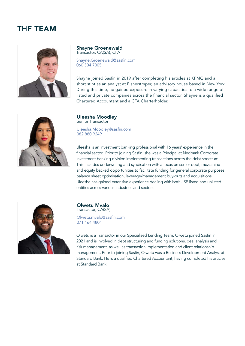## THE TEAM



#### Shayne Groenewald Transactor, CA(SA), CFA

Shayne.Groenewald@sasfin.com 060 504 7005

Shayne joined Sasfin in 2019 after completing his articles at KPMG and a short stint as an analyst at EisnerAmper, an advisory house based in New York. During this time, he gained exposure in varying capacities to a wide range of listed and private companies across the financial sector. Shayne is a qualified Chartered Accountant and a CFA Charterholder.



#### Uleesha Moodley Senior Transactor Uleesha.Moodley@sasfin.com 082 880 9249

Uleesha is an investment banking professional with 16 years' experience in the financial sector. Prior to joining Sasfin, she was a Principal at Nedbank Corporate Investment banking division implementing transactions across the debt spectrum. This includes underwriting and syndication with a focus on senior debt, mezzanine and equity backed opportunities to facilitate funding for general corporate purposes, balance sheet optimisation, leverage/management buy-outs and acquisitions. Uleesha has gained extensive experience dealing with both JSE listed and unlisted entities across various industries and sectors.



#### Olwetu Mvalo Transactor, CA(SA)

Olwetu.mvalo@sasfin.com 071 164 4801

Olwetu is a Transactor in our Specialised Lending Team. Olwetu joined Sasfin in 2021 and is involved in debt structuring and funding solutions, deal analysis and risk management, as well as transaction implementation and client relationship management. Prior to joining Sasfin, Olwetu was a Business Development Analyst at Standard Bank. He is a qualified Chartered Accountant, having completed his articles at Standard Bank.